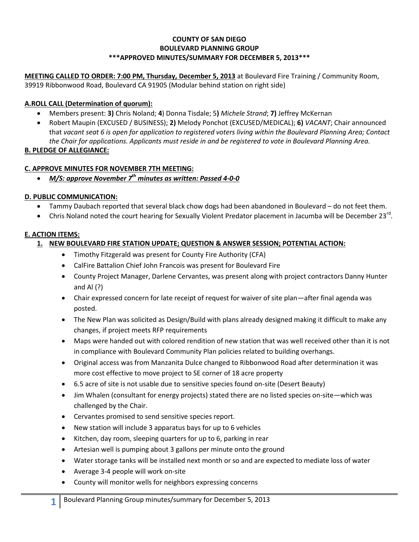### **COUNTY OF SAN DIEGO BOULEVARD PLANNING GROUP \*\*\*APPROVED MINUTES/SUMMARY FOR DECEMBER 5, 2013\*\*\***

**MEETING CALLED TO ORDER: 7:00 PM, Thursday, December 5, 2013** at Boulevard Fire Training / Community Room, 39919 Ribbonwood Road, Boulevard CA 91905 (Modular behind station on right side)

# **A.ROLL CALL (Determination of quorum):**

- Members present: **3)** Chris Noland; **4**) Donna Tisdale; 5**)** *Michele Strand*; **7)** Jeffrey McKernan
- Robert Maupin (EXCUSED / BUSINESS); **2)** Melody Ponchot (EXCUSED/MEDICAL); **6)** *VACANT*; Chair announced that *vacant seat 6 is open for application to registered voters living within the Boulevard Planning Area; Contact the Chair for applications. Applicants must reside in and be registered to vote in Boulevard Planning Area.*

# **B. PLEDGE OF ALLEGIANCE:**

# **C. APPROVE MINUTES FOR NOVEMBER 7TH MEETING:**

*M/S: approve November 7th minutes as written: Passed 4-0-0*

# **D. PUBLIC COMMUNICATION:**

- Tammy Daubach reported that several black chow dogs had been abandoned in Boulevard do not feet them.
- Chris Noland noted the court hearing for Sexually Violent Predator placement in Jacumba will be December 23<sup>rd</sup>.

### **E. ACTION ITEMS:**

- **1. NEW BOULEVARD FIRE STATION UPDATE; QUESTION & ANSWER SESSION; POTENTIAL ACTION:** 
	- Timothy Fitzgerald was present for County Fire Authority (CFA)
	- CalFire Battalion Chief John Francois was present for Boulevard Fire
	- County Project Manager, Darlene Cervantes, was present along with project contractors Danny Hunter and Al (?)
	- Chair expressed concern for late receipt of request for waiver of site plan—after final agenda was posted.
	- The New Plan was solicited as Design/Build with plans already designed making it difficult to make any changes, if project meets RFP requirements
	- Maps were handed out with colored rendition of new station that was well received other than it is not in compliance with Boulevard Community Plan policies related to building overhangs.
	- Original access was from Manzanita Dulce changed to Ribbonwood Road after determination it was more cost effective to move project to SE corner of 18 acre property
	- 6.5 acre of site is not usable due to sensitive species found on-site (Desert Beauty)
	- Jim Whalen (consultant for energy projects) stated there are no listed species on-site—which was challenged by the Chair.
	- Cervantes promised to send sensitive species report.
	- New station will include 3 apparatus bays for up to 6 vehicles
	- Kitchen, day room, sleeping quarters for up to 6, parking in rear
	- Artesian well is pumping about 3 gallons per minute onto the ground
	- Water storage tanks will be installed next month or so and are expected to mediate loss of water
	- Average 3-4 people will work on-site
	- County will monitor wells for neighbors expressing concerns

**1**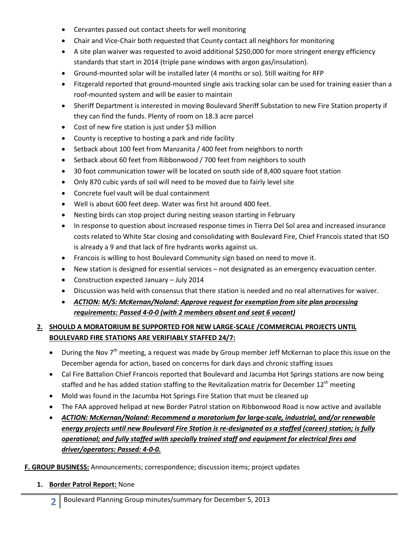- Cervantes passed out contact sheets for well monitoring
- Chair and Vice-Chair both requested that County contact all neighbors for monitoring
- A site plan waiver was requested to avoid additional \$250,000 for more stringent energy efficiency standards that start in 2014 (triple pane windows with argon gas/insulation).
- Ground-mounted solar will be installed later (4 months or so). Still waiting for RFP
- Fitzgerald reported that ground-mounted single axis tracking solar can be used for training easier than a roof-mounted system and will be easier to maintain
- Sheriff Department is interested in moving Boulevard Sheriff Substation to new Fire Station property if they can find the funds. Plenty of room on 18.3 acre parcel
- Cost of new fire station is just under \$3 million
- County is receptive to hosting a park and ride facility
- Setback about 100 feet from Manzanita / 400 feet from neighbors to north
- Setback about 60 feet from Ribbonwood / 700 feet from neighbors to south
- 30 foot communication tower will be located on south side of 8,400 square foot station
- Only 870 cubic yards of soil will need to be moved due to fairly level site
- Concrete fuel vault will be dual containment
- Well is about 600 feet deep. Water was first hit around 400 feet.
- Nesting birds can stop project during nesting season starting in February
- In response to question about increased response times in Tierra Del Sol area and increased insurance costs related to White Star closing and consolidating with Boulevard Fire, Chief Francois stated that ISO is already a 9 and that lack of fire hydrants works against us.
- Francois is willing to host Boulevard Community sign based on need to move it.
- New station is designed for essential services not designated as an emergency evacuation center.
- Construction expected January July 2014
- Discussion was held with consensus that there station is needed and no real alternatives for waiver.
- *ACTION: M/S: McKernan/Noland: Approve request for exemption from site plan processing requirements: Passed 4-0-0 (with 2 members absent and seat 6 vacant)*

# **2. SHOULD A MORATORIUM BE SUPPORTED FOR NEW LARGE-SCALE /COMMERCIAL PROJECTS UNTIL BOULEVARD FIRE STATIONS ARE VERIFIABLY STAFFED 24/7:**

- During the Nov 7<sup>th</sup> meeting, a request was made by Group member Jeff McKernan to place this issue on the December agenda for action, based on concerns for dark days and chronic staffing issues
- Cal Fire Battalion Chief Francois reported that Boulevard and Jacumba Hot Springs stations are now being staffed and he has added station staffing to the Revitalization matrix for December  $12<sup>th</sup>$  meeting
- Mold was found in the Jacumba Hot Springs Fire Station that must be cleaned up
- The FAA approved helipad at new Border Patrol station on Ribbonwood Road is now active and available
- *ACTION: McKernan/Noland: Recommend a moratorium for large-scale, industrial, and/or renewable energy projects until new Boulevard Fire Station is re-designated as a staffed (career) station; is fully operational; and fully staffed with specially trained staff and equipment for electrical fires and driver/operators: Passed: 4-0-0.*

# **F. GROUP BUSINESS:** Announcements; correspondence; discussion items; project updates

# **1. Border Patrol Report:** None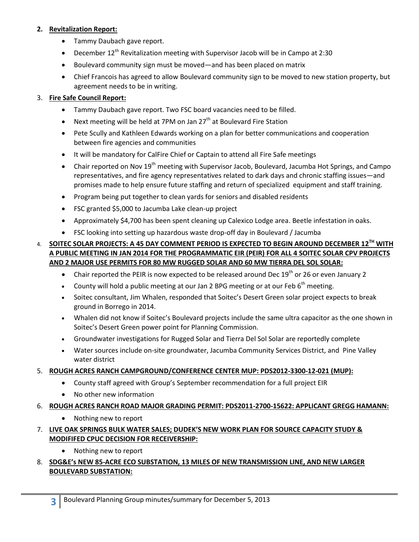#### **2. Revitalization Report:**

- Tammy Daubach gave report.
- **•** December  $12^{th}$  Revitalization meeting with Supervisor Jacob will be in Campo at 2:30
- Boulevard community sign must be moved—and has been placed on matrix
- Chief Francois has agreed to allow Boulevard community sign to be moved to new station property, but agreement needs to be in writing.

### 3. **Fire Safe Council Report:**

- Tammy Daubach gave report. Two FSC board vacancies need to be filled.
- EXTER Next meeting will be held at 7PM on Jan 27<sup>th</sup> at Boulevard Fire Station
- Pete Scully and Kathleen Edwards working on a plan for better communications and cooperation between fire agencies and communities
- It will be mandatory for CalFire Chief or Captain to attend all Fire Safe meetings
- **•** Chair reported on Nov  $19<sup>th</sup>$  meeting with Supervisor Jacob, Boulevard, Jacumba Hot Springs, and Campo representatives, and fire agency representatives related to dark days and chronic staffing issues—and promises made to help ensure future staffing and return of specialized equipment and staff training.
- Program being put together to clean yards for seniors and disabled residents
- FSC granted \$5,000 to Jacumba Lake clean-up project
- Approximately \$4,700 has been spent cleaning up Calexico Lodge area. Beetle infestation in oaks.
- FSC looking into setting up hazardous waste drop-off day in Boulevard / Jacumba

### 4. **SOITEC SOLAR PROJECTS: A 45 DAY COMMENT PERIOD IS EXPECTED TO BEGIN AROUND DECEMBER 12 TH WITH A PUBLIC MEETING IN JAN 2014 FOR THE PROGRAMMATIC EIR (PEIR) FOR ALL 4 SOITEC SOLAR CPV PROJECTS AND 2 MAJOR USE PERMITS FOR 80 MW RUGGED SOLAR AND 60 MW TIERRA DEL SOL SOLAR:**

- Chair reported the PEIR is now expected to be released around Dec 19<sup>th</sup> or 26 or even January 2
- County will hold a public meeting at our Jan 2 BPG meeting or at our Feb  $6<sup>th</sup>$  meeting.
- Soitec consultant, Jim Whalen, responded that Soitec's Desert Green solar project expects to break ground in Borrego in 2014.
- Whalen did not know if Soitec's Boulevard projects include the same ultra capacitor as the one shown in Soitec's Desert Green power point for Planning Commission.
- Groundwater investigations for Rugged Solar and Tierra Del Sol Solar are reportedly complete
- Water sources include on-site groundwater, Jacumba Community Services District, and Pine Valley water district
- 5. **ROUGH ACRES RANCH CAMPGROUND/CONFERENCE CENTER MUP: PDS2012-3300-12-021 (MUP):**
	- County staff agreed with Group's September recommendation for a full project EIR
	- No other new information
- 6. **ROUGH ACRES RANCH ROAD MAJOR GRADING PERMIT: PDS2011-2700-15622: APPLICANT GREGG HAMANN:** 
	- Nothing new to report
- 7. **LIVE OAK SPRINGS BULK WATER SALES; DUDEK'S NEW WORK PLAN FOR SOURCE CAPACITY STUDY & MODIFIFED CPUC DECISION FOR RECEIVERSHIP:**
	- Nothing new to report

# 8. **SDG&E's NEW 85-ACRE ECO SUBSTATION, 13 MILES OF NEW TRANSMISSION LINE, AND NEW LARGER BOULEVARD SUBSTATION:**